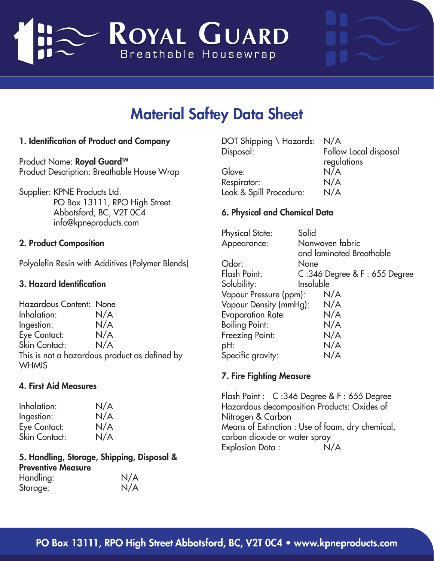

# Material Saftey Data Sheet

## 1. Identification of Product and Company

Product Name: Royal Guard<sup>™</sup> Product Description: Breathable House Wrap

Supplier: KPNE Products Ltd. PO Box 13111, RPO High Street Abbotsford, BC, V2T 0C4 info@kpneproducts.com

#### 2. Product Composition

Polyolefin Resin with Additives (Polymer Blends)

#### 3. Hazard Identification

Hazardous Content: None Inhalation: N/A Ingestion: N/A Eye Contact: N/A Skin Contact: N/A This is not a hazardous product as defined by **WHMIS** 

#### 4. First Aid Measures

Inhalation: N/A Ingestion: N/A Eye Contact: N/A Skin Contact: N/A

5. Handling, Storage, Shipping, Disposal & Preventive Measure Handling: N/A Storage: N/A

| DOT Shipping \ Hazards: N/A |
|-----------------------------|
| Follow Local disposal       |
| regulations                 |
| N/A                         |
| N/A                         |
| N/A                         |
|                             |

### 6. Physical and Chemical Data

Physical State: Solid Appearance: Nonwoven fabric and laminated Breathable Odor: None<br>Flash Point: C :346  $C : 346$  Degree & F : 655 Degree Solubility: Insoluble Vapour Pressure (ppm): N/A Vapour Density (mmHg): N/A Evaporation Rate: N/A Boiling Point: N/A Freezing Point: N/A pH: N/A Specific gravity: N/A

### 7. Fire Fighting Measure

Flash Point : C :346 Degree & F : 655 Degree Hazardous decomposition Products: Oxides of Nitrogen & Carbon Means of Extinction : Use of foam, dry chemical, carbon dioxide or water spray Explosion Data :